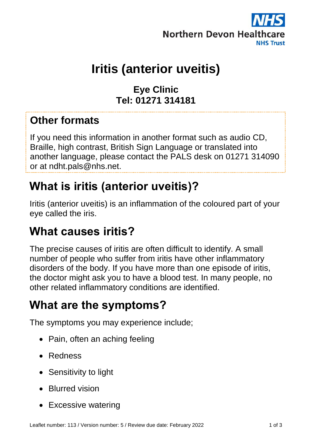

# **Iritis (anterior uveitis)**

**Eye Clinic Tel: 01271 314181**

#### **Other formats**

If you need this information in another format such as audio CD, Braille, high contrast, British Sign Language or translated into another language, please contact the PALS desk on 01271 314090 or at ndht.pals@nhs.net.

## **What is iritis (anterior uveitis)?**

Iritis (anterior uveitis) is an inflammation of the coloured part of your eye called the iris.

#### **What causes iritis?**

The precise causes of iritis are often difficult to identify. A small number of people who suffer from iritis have other inflammatory disorders of the body. If you have more than one episode of iritis, the doctor might ask you to have a blood test. In many people, no other related inflammatory conditions are identified.

## **What are the symptoms?**

The symptoms you may experience include;

- Pain, often an aching feeling
- Redness
- Sensitivity to light
- Blurred vision
- Excessive watering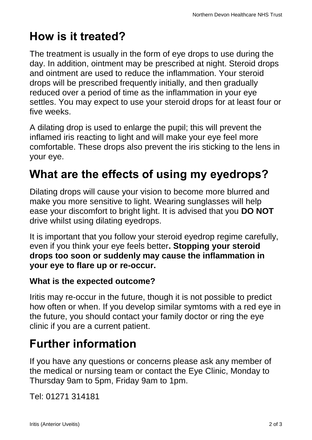## **How is it treated?**

The treatment is usually in the form of eye drops to use during the day. In addition, ointment may be prescribed at night. Steroid drops and ointment are used to reduce the inflammation. Your steroid drops will be prescribed frequently initially, and then gradually reduced over a period of time as the inflammation in your eye settles. You may expect to use your steroid drops for at least four or five weeks.

A dilating drop is used to enlarge the pupil; this will prevent the inflamed iris reacting to light and will make your eye feel more comfortable. These drops also prevent the iris sticking to the lens in your eye.

## **What are the effects of using my eyedrops?**

Dilating drops will cause your vision to become more blurred and make you more sensitive to light. Wearing sunglasses will help ease your discomfort to bright light. It is advised that you **DO NOT**  drive whilst using dilating eyedrops.

It is important that you follow your steroid eyedrop regime carefully, even if you think your eye feels better**. Stopping your steroid drops too soon or suddenly may cause the inflammation in your eye to flare up or re-occur.**

#### **What is the expected outcome?**

Iritis may re-occur in the future, though it is not possible to predict how often or when. If you develop similar symtoms with a red eye in the future, you should contact your family doctor or ring the eye clinic if you are a current patient.

#### **Further information**

If you have any questions or concerns please ask any member of the medical or nursing team or contact the Eye Clinic, Monday to Thursday 9am to 5pm, Friday 9am to 1pm.

Tel: 01271 314181